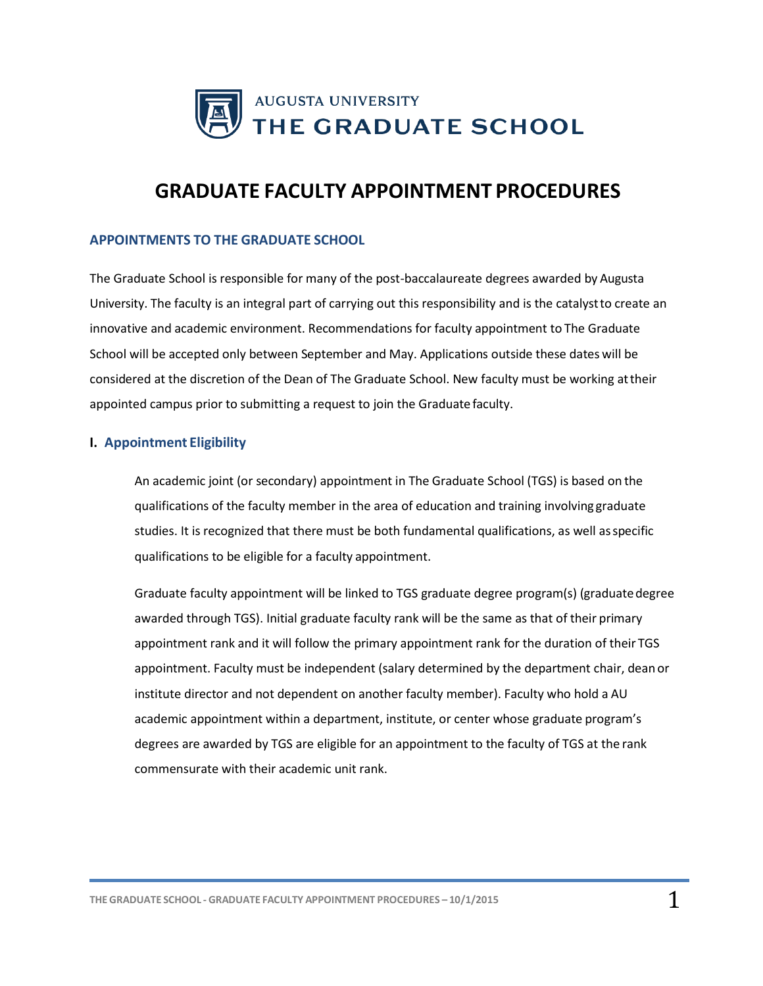

# **GRADUATE FACULTY APPOINTMENT PROCEDURES**

## **APPOINTMENTS TO THE GRADUATE SCHOOL**

The Graduate School is responsible for many of the post-baccalaureate degrees awarded by Augusta University. The faculty is an integral part of carrying out this responsibility and is the catalystto create an innovative and academic environment. Recommendations for faculty appointment to The Graduate School will be accepted only between September and May. Applications outside these dates will be considered at the discretion of the Dean of The Graduate School. New faculty must be working attheir appointed campus prior to submitting a request to join the Graduate faculty.

#### **I. Appointment Eligibility**

An academic joint (or secondary) appointment in The Graduate School (TGS) is based on the qualifications of the faculty member in the area of education and training involving graduate studies. It is recognized that there must be both fundamental qualifications, as well asspecific qualifications to be eligible for a faculty appointment.

Graduate faculty appointment will be linked to TGS graduate degree program(s) (graduatedegree awarded through TGS). Initial graduate faculty rank will be the same as that of their primary appointment rank and it will follow the primary appointment rank for the duration of their TGS appointment. Faculty must be independent (salary determined by the department chair, deanor institute director and not dependent on another faculty member). Faculty who hold a AU academic appointment within a department, institute, or center whose graduate program's degrees are awarded by TGS are eligible for an appointment to the faculty of TGS at the rank commensurate with their academic unit rank.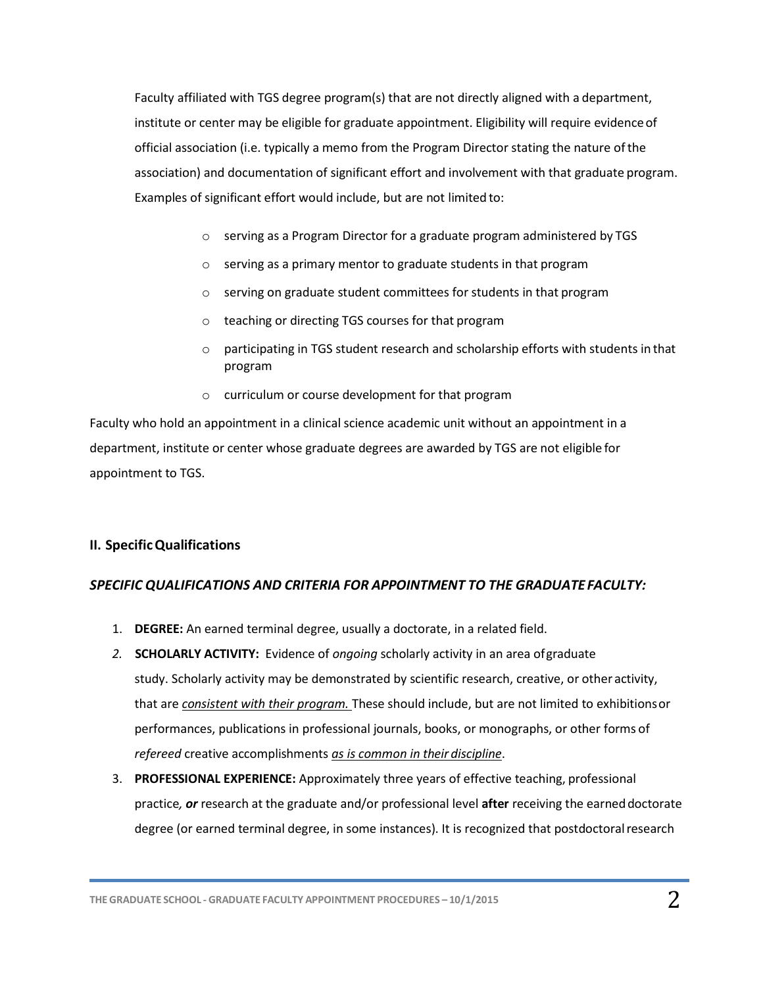Faculty affiliated with TGS degree program(s) that are not directly aligned with a department, institute or center may be eligible for graduate appointment. Eligibility will require evidence of official association (i.e. typically a memo from the Program Director stating the nature ofthe association) and documentation of significant effort and involvement with that graduate program. Examples of significant effort would include, but are not limited to:

- o serving as a Program Director for a graduate program administered by TGS
- o serving as a primary mentor to graduate students in that program
- o serving on graduate student committees for students in that program
- o teaching or directing TGS courses for that program
- o participating in TGS student research and scholarship efforts with students in that program
- o curriculum or course development for that program

Faculty who hold an appointment in a clinical science academic unit without an appointment in a department, institute or center whose graduate degrees are awarded by TGS are not eligible for appointment to TGS.

## **II. SpecificQualifications**

## *SPECIFIC QUALIFICATIONS AND CRITERIA FOR APPOINTMENT TO THE GRADUATE FACULTY:*

- 1. **DEGREE:** An earned terminal degree, usually a doctorate, in a related field.
- *2.* **SCHOLARLY ACTIVITY:** Evidence of *ongoing* scholarly activity in an area ofgraduate study. Scholarly activity may be demonstrated by scientific research, creative, or other activity, that are *consistent with their program.* These should include, but are not limited to exhibitionsor performances, publications in professional journals, books, or monographs, or other forms of *refereed* creative accomplishments *as is common in their discipline*.
- 3. **PROFESSIONAL EXPERIENCE:** Approximately three years of effective teaching, professional practice*, or* research at the graduate and/or professional level **after** receiving the earneddoctorate degree (or earned terminal degree, in some instances). It is recognized that postdoctoral research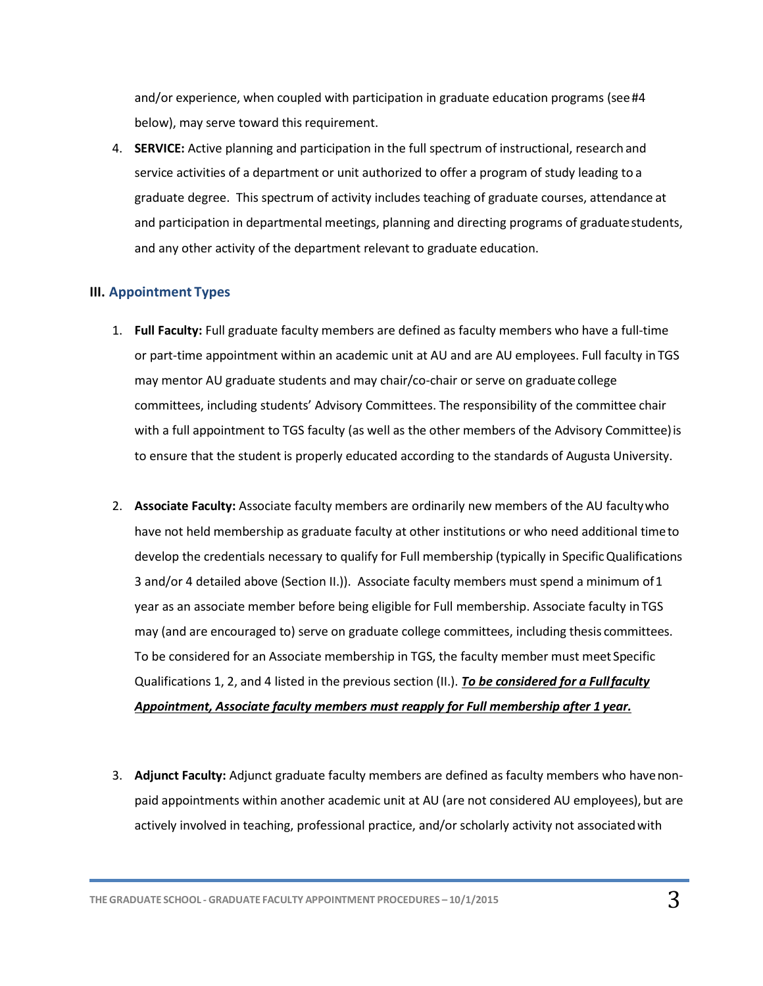and/or experience, when coupled with participation in graduate education programs (see#4 below), may serve toward this requirement.

4. **SERVICE:** Active planning and participation in the full spectrum of instructional, research and service activities of a department or unit authorized to offer a program of study leading to a graduate degree. This spectrum of activity includes teaching of graduate courses, attendance at and participation in departmental meetings, planning and directing programs of graduatestudents, and any other activity of the department relevant to graduate education.

## **III. Appointment Types**

- 1. **Full Faculty:** Full graduate faculty members are defined as faculty members who have a full-time or part-time appointment within an academic unit at AU and are AU employees. Full faculty in TGS may mentor AU graduate students and may chair/co-chair or serve on graduate college committees, including students' Advisory Committees. The responsibility of the committee chair with a full appointment to TGS faculty (as well as the other members of the Advisory Committee)is to ensure that the student is properly educated according to the standards of Augusta University.
- 2. **Associate Faculty:** Associate faculty members are ordinarily new members of the AU facultywho have not held membership as graduate faculty at other institutions or who need additional timeto develop the credentials necessary to qualify for Full membership (typically in Specific Qualifications 3 and/or 4 detailed above (Section II.)). Associate faculty members must spend a minimum of1 year as an associate member before being eligible for Full membership. Associate faculty in TGS may (and are encouraged to) serve on graduate college committees, including thesis committees. To be considered for an Associate membership in TGS, the faculty member must meet Specific Qualifications 1, 2, and 4 listed in the previous section (II.). *To be considered for a Fullfaculty Appointment, Associate faculty members must reapply for Full membership after 1 year.*
- 3. **Adjunct Faculty:** Adjunct graduate faculty members are defined as faculty members who havenonpaid appointments within another academic unit at AU (are not considered AU employees), but are actively involved in teaching, professional practice, and/or scholarly activity not associatedwith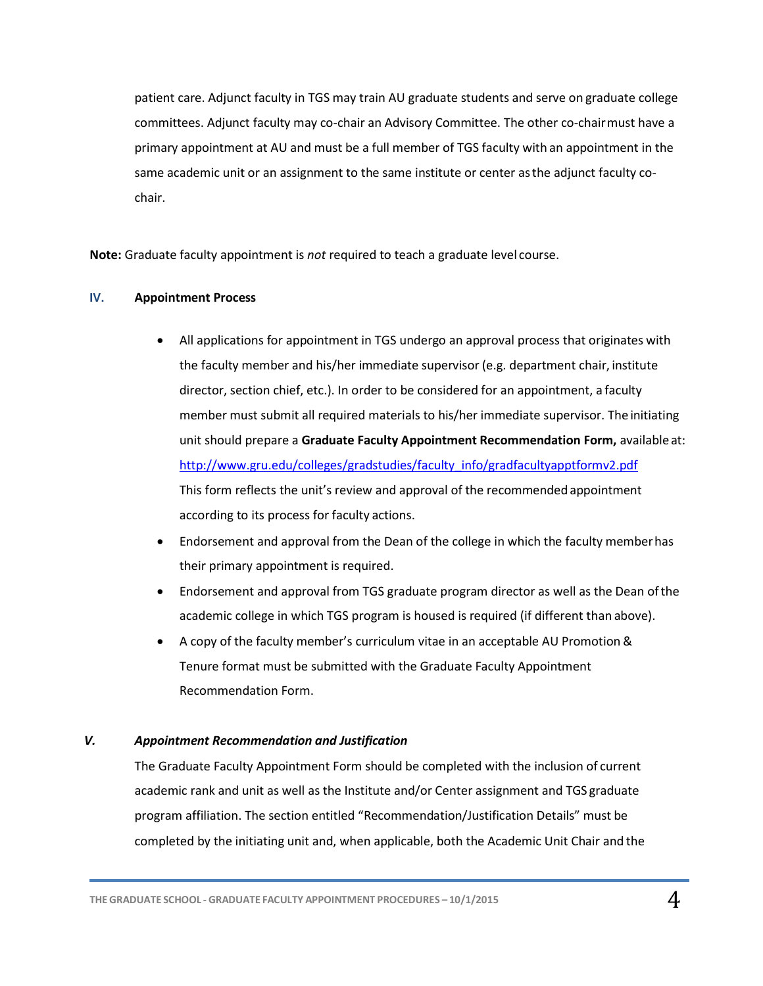patient care. Adjunct faculty in TGS may train AU graduate students and serve on graduate college committees. Adjunct faculty may co-chair an Advisory Committee. The other co-chairmust have a primary appointment at AU and must be a full member of TGS faculty with an appointment in the same academic unit or an assignment to the same institute or center asthe adjunct faculty cochair.

**Note:** Graduate faculty appointment is *not* required to teach a graduate level course.

#### **IV. Appointment Process**

- All applications for appointment in TGS undergo an approval process that originates with the faculty member and his/her immediate supervisor (e.g. department chair, institute director, section chief, etc.). In order to be considered for an appointment, a faculty member must submit all required materials to his/her immediate supervisor. The initiating unit should prepare a **Graduate Faculty Appointment Recommendation Form,** available at: [http://www.gru.edu/colleges/gradstudies/faculty\\_info/gradfacultyapptformv2.pdf](http://www.gru.edu/colleges/gradstudies/faculty_info/gradfacultyapptformv2.pdf) This form reflects the unit's review and approval of the recommendedappointment according to its process for faculty actions.
- Endorsement and approval from the Dean of the college in which the faculty memberhas their primary appointment is required.
- Endorsement and approval from TGS graduate program director as well as the Dean ofthe academic college in which TGS program is housed is required (if different than above).
- A copy of the faculty member's curriculum vitae in an acceptable AU Promotion & Tenure format must be submitted with the Graduate Faculty Appointment Recommendation Form.

### *V. Appointment Recommendation and Justification*

The Graduate Faculty Appointment Form should be completed with the inclusion of current academic rank and unit as well as the Institute and/or Center assignment and TGS graduate program affiliation. The section entitled "Recommendation/Justification Details" must be completed by the initiating unit and, when applicable, both the Academic Unit Chair and the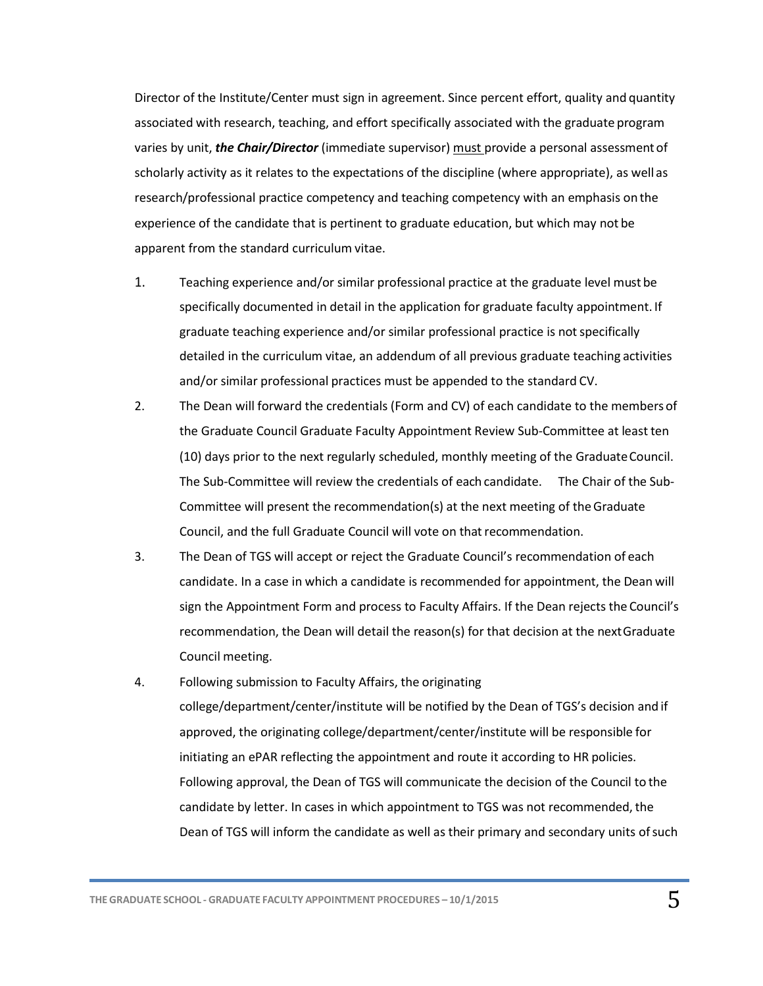Director of the Institute/Center must sign in agreement. Since percent effort, quality and quantity associated with research, teaching, and effort specifically associated with the graduate program varies by unit, *the Chair/Director* (immediate supervisor) must provide a personal assessment of scholarly activity as it relates to the expectations of the discipline (where appropriate), as well as research/professional practice competency and teaching competency with an emphasis on the experience of the candidate that is pertinent to graduate education, but which may not be apparent from the standard curriculum vitae.

- 1. Teaching experience and/or similar professional practice at the graduate level must be specifically documented in detail in the application for graduate faculty appointment. If graduate teaching experience and/or similar professional practice is notspecifically detailed in the curriculum vitae, an addendum of all previous graduate teaching activities and/or similar professional practices must be appended to the standard CV.
- 2. The Dean will forward the credentials (Form and CV) of each candidate to the membersof the Graduate Council Graduate Faculty Appointment Review Sub-Committee at least ten (10) days prior to the next regularly scheduled, monthly meeting of the GraduateCouncil. The Sub-Committee will review the credentials of each candidate. The Chair of the Sub-Committee will present the recommendation(s) at the next meeting of theGraduate Council, and the full Graduate Council will vote on that recommendation.
- 3. The Dean of TGS will accept or reject the Graduate Council's recommendation of each candidate. In a case in which a candidate is recommended for appointment, the Dean will sign the Appointment Form and process to Faculty Affairs. If the Dean rejects the Council's recommendation, the Dean will detail the reason(s) for that decision at the nextGraduate Council meeting.
- 4. Following submission to Faculty Affairs, the originating college/department/center/institute will be notified by the Dean of TGS's decision and if approved, the originating college/department/center/institute will be responsible for initiating an ePAR reflecting the appointment and route it according to HR policies. Following approval, the Dean of TGS will communicate the decision of the Council to the candidate by letter. In cases in which appointment to TGS was not recommended, the Dean of TGS will inform the candidate as well as their primary and secondary units of such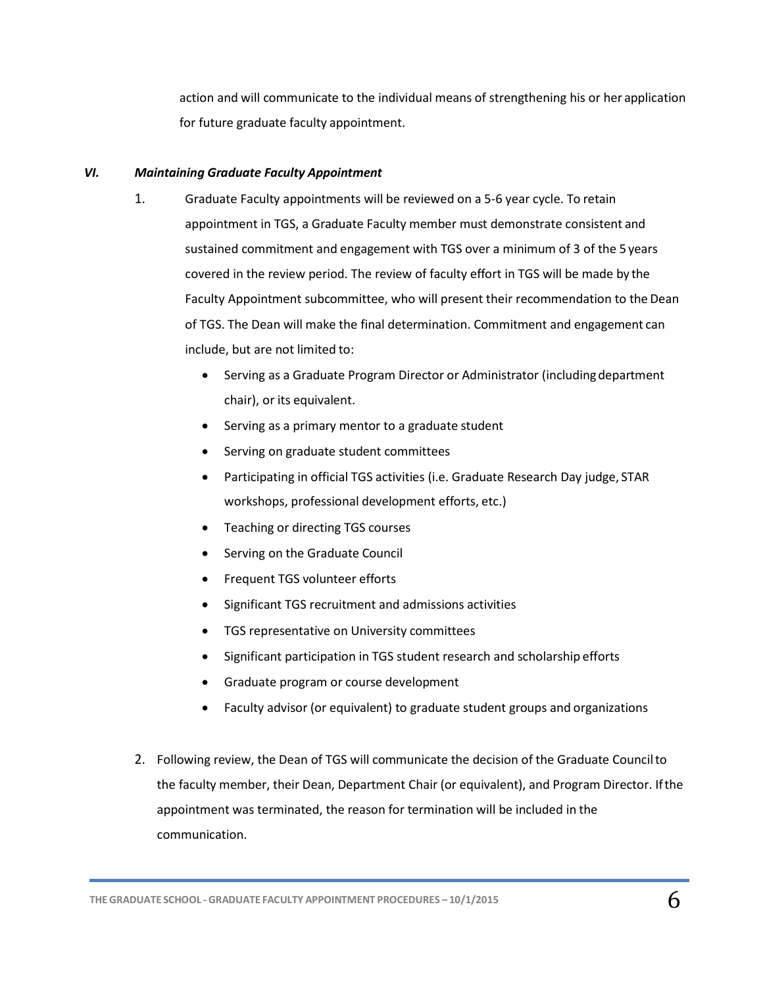action and will communicate to the individual means of strengthening his or her application for future graduate faculty appointment.

### *VI. Maintaining Graduate Faculty Appointment*

- 1. Graduate Faculty appointments will be reviewed on a 5-6 year cycle. To retain appointment in TGS, a Graduate Faculty member must demonstrate consistent and sustained commitment and engagement with TGS over a minimum of 3 of the 5 years covered in the review period. The review of faculty effort in TGS will be made by the Faculty Appointment subcommittee, who will present their recommendation to the Dean of TGS. The Dean will make the final determination. Commitment and engagement can include, but are not limited to:
	- Serving as a Graduate Program Director or Administrator (includingdepartment chair), or its equivalent.
	- Serving as a primary mentor to a graduate student
	- Serving on graduate student committees
	- Participating in official TGS activities (i.e. Graduate Research Day judge, STAR workshops, professional development efforts, etc.)
	- Teaching or directing TGS courses
	- Serving on the Graduate Council
	- Frequent TGS volunteer efforts
	- Significant TGS recruitment and admissions activities
	- **•** TGS representative on University committees
	- Significant participation in TGS student research and scholarship efforts
	- Graduate program or course development
	- Faculty advisor (or equivalent) to graduate student groups and organizations
- 2. Following review, the Dean of TGS will communicate the decision of the Graduate Councilto the faculty member, their Dean, Department Chair (or equivalent), and Program Director. Ifthe appointment was terminated, the reason for termination will be included in the communication.